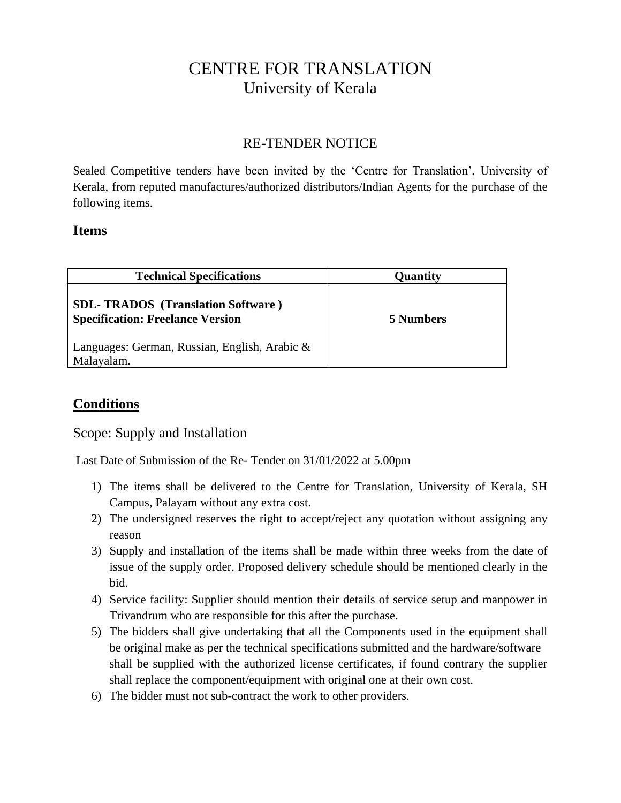## CENTRE FOR TRANSLATION University of Kerala

## RE-TENDER NOTICE

Sealed Competitive tenders have been invited by the 'Centre for Translation', University of Kerala, from reputed manufactures/authorized distributors/Indian Agents for the purchase of the following items.

## **Items**

| <b>Technical Specifications</b>                                                     | Quantity  |
|-------------------------------------------------------------------------------------|-----------|
| <b>SDL-TRADOS</b> (Translation Software)<br><b>Specification: Freelance Version</b> | 5 Numbers |
| Languages: German, Russian, English, Arabic &<br>Malayalam.                         |           |

## **Conditions**

Scope: Supply and Installation

Last Date of Submission of the Re- Tender on 31/01/2022 at 5.00pm

- 1) The items shall be delivered to the Centre for Translation, University of Kerala, SH Campus, Palayam without any extra cost.
- 2) The undersigned reserves the right to accept/reject any quotation without assigning any reason
- 3) Supply and installation of the items shall be made within three weeks from the date of issue of the supply order. Proposed delivery schedule should be mentioned clearly in the bid.
- 4) Service facility: Supplier should mention their details of service setup and manpower in Trivandrum who are responsible for this after the purchase.
- 5) The bidders shall give undertaking that all the Components used in the equipment shall be original make as per the technical specifications submitted and the hardware/software shall be supplied with the authorized license certificates, if found contrary the supplier shall replace the component/equipment with original one at their own cost.
- 6) The bidder must not sub-contract the work to other providers.